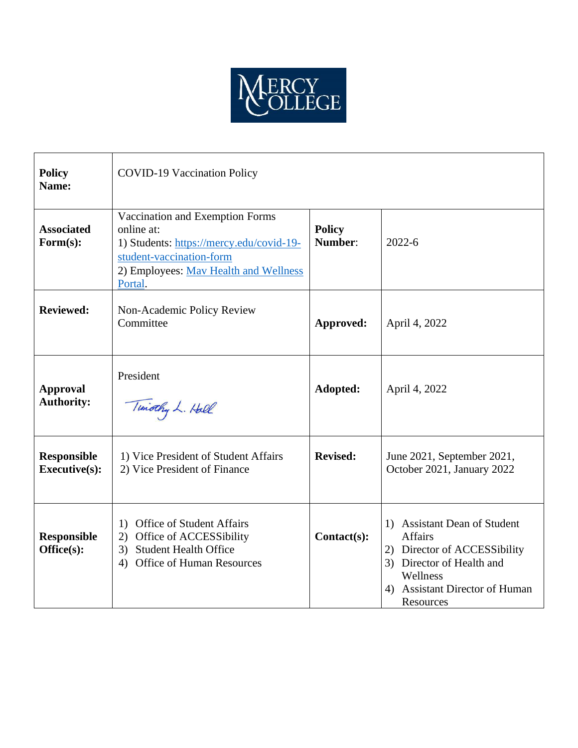

| <b>Policy</b><br>Name:                     | <b>COVID-19 Vaccination Policy</b>                                                                                                                                        |                          |                                                                                                                                                                                               |
|--------------------------------------------|---------------------------------------------------------------------------------------------------------------------------------------------------------------------------|--------------------------|-----------------------------------------------------------------------------------------------------------------------------------------------------------------------------------------------|
| <b>Associated</b><br>Form(s):              | Vaccination and Exemption Forms<br>online at:<br>1) Students: https://mercy.edu/covid-19-<br>student-vaccination-form<br>2) Employees: May Health and Wellness<br>Portal. | <b>Policy</b><br>Number: | $2022 - 6$                                                                                                                                                                                    |
| <b>Reviewed:</b>                           | Non-Academic Policy Review<br>Committee                                                                                                                                   | Approved:                | April 4, 2022                                                                                                                                                                                 |
| <b>Approval</b><br><b>Authority:</b>       | President<br>Timothy L. Hall                                                                                                                                              | Adopted:                 | April 4, 2022                                                                                                                                                                                 |
| <b>Responsible</b><br><b>Executive(s):</b> | 1) Vice President of Student Affairs<br>2) Vice President of Finance                                                                                                      | <b>Revised:</b>          | June 2021, September 2021,<br>October 2021, January 2022                                                                                                                                      |
| <b>Responsible</b><br>Office(s):           | <b>Office of Student Affairs</b><br>1)<br>Office of ACCESSibility<br>2)<br><b>Student Health Office</b><br>3)<br>Office of Human Resources<br>4)                          | Contact(s):              | <b>Assistant Dean of Student</b><br>1)<br><b>Affairs</b><br>2) Director of ACCESSibility<br>Director of Health and<br>3)<br>Wellness<br><b>Assistant Director of Human</b><br>4)<br>Resources |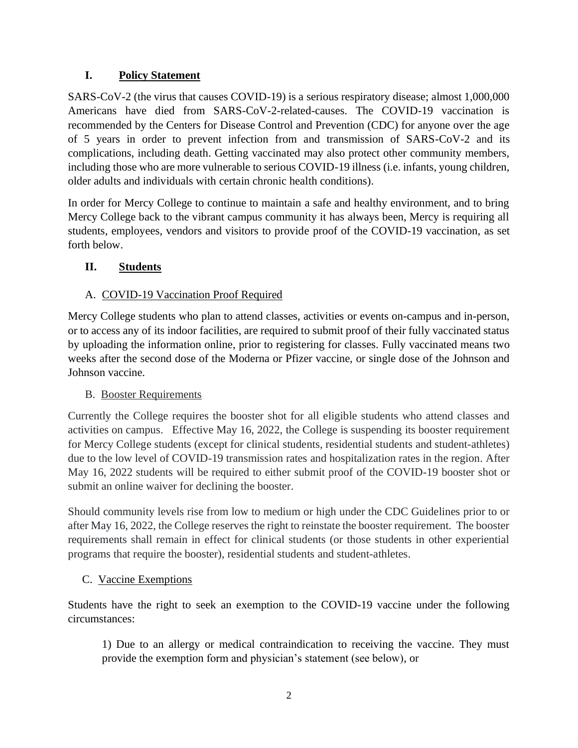### **I. Policy Statement**

SARS-CoV-2 (the virus that causes COVID-19) is a serious respiratory disease; almost 1,000,000 Americans have died from SARS-CoV-2-related-causes. The COVID-19 vaccination is recommended by the Centers for Disease Control and Prevention (CDC) for anyone over the age of 5 years in order to prevent infection from and transmission of SARS-CoV-2 and its complications, including death. Getting vaccinated may also protect other community members, including those who are more vulnerable to serious COVID-19 illness (i.e. infants, young children, older adults and individuals with certain chronic health conditions).

In order for Mercy College to continue to maintain a safe and healthy environment, and to bring Mercy College back to the vibrant campus community it has always been, Mercy is requiring all students, employees, vendors and visitors to provide proof of the COVID-19 vaccination, as set forth below.

# **II. Students**

# A. COVID-19 Vaccination Proof Required

Mercy College students who plan to attend classes, activities or events on-campus and in-person, or to access any of its indoor facilities, are required to submit proof of their fully vaccinated status by uploading the information online, prior to registering for classes. Fully vaccinated means two weeks after the second dose of the Moderna or Pfizer vaccine, or single dose of the Johnson and Johnson vaccine.

# B. Booster Requirements

Currently the College requires the booster shot for all eligible students who attend classes and activities on campus. Effective May 16, 2022, the College is suspending its booster requirement for Mercy College students (except for clinical students, residential students and student-athletes) due to the low level of COVID-19 transmission rates and hospitalization rates in the region. After May 16, 2022 students will be required to either submit proof of the COVID-19 booster shot or submit an online waiver for declining the booster.

Should community levels rise from low to medium or high under the CDC Guidelines prior to or after May 16, 2022, the College reserves the right to reinstate the booster requirement. The booster requirements shall remain in effect for clinical students (or those students in other experiential programs that require the booster), residential students and student-athletes.

# C. Vaccine Exemptions

Students have the right to seek an exemption to the COVID-19 vaccine under the following circumstances:

1) Due to an allergy or medical contraindication to receiving the vaccine. They must provide the exemption form and physician's statement (see below), or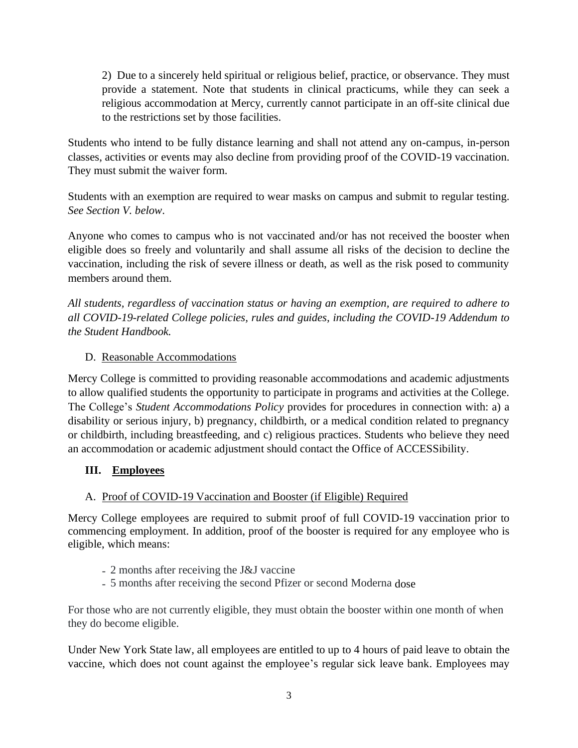2) Due to a sincerely held spiritual or religious belief, practice, or observance. They must provide a statement. Note that students in clinical practicums, while they can seek a religious accommodation at Mercy, currently cannot participate in an off-site clinical due to the restrictions set by those facilities.

Students who intend to be fully distance learning and shall not attend any on-campus, in-person classes, activities or events may also decline from providing proof of the COVID-19 vaccination. They must submit the waiver form.

Students with an exemption are required to wear masks on campus and submit to regular testing. *See Section V. below*.

Anyone who comes to campus who is not vaccinated and/or has not received the booster when eligible does so freely and voluntarily and shall assume all risks of the decision to decline the vaccination, including the risk of severe illness or death, as well as the risk posed to community members around them.

*All students, regardless of vaccination status or having an exemption, are required to adhere to all COVID-19-related College policies, rules and guides, including the COVID-19 Addendum to the Student Handbook.* 

# D. Reasonable Accommodations

Mercy College is committed to providing reasonable accommodations and academic adjustments to allow qualified students the opportunity to participate in programs and activities at the College. The College's *Student Accommodations Policy* provides for procedures in connection with: a) a disability or serious injury, b) pregnancy, childbirth, or a medical condition related to pregnancy or childbirth, including breastfeeding, and c) religious practices. Students who believe they need an accommodation or academic adjustment should contact the Office of ACCESSibility.

# **III. Employees**

# A. Proof of COVID-19 Vaccination and Booster (if Eligible) Required

Mercy College employees are required to submit proof of full COVID-19 vaccination prior to commencing employment. In addition, proof of the booster is required for any employee who is eligible, which means:

- 2 months after receiving the J&J vaccine
- 5 months after receiving the second Pfizer or second Moderna dose

For those who are not currently eligible, they must obtain the booster within one month of when they do become eligible.

Under New York State law, all employees are entitled to up to 4 hours of paid leave to obtain the vaccine, which does not count against the employee's regular sick leave bank. Employees may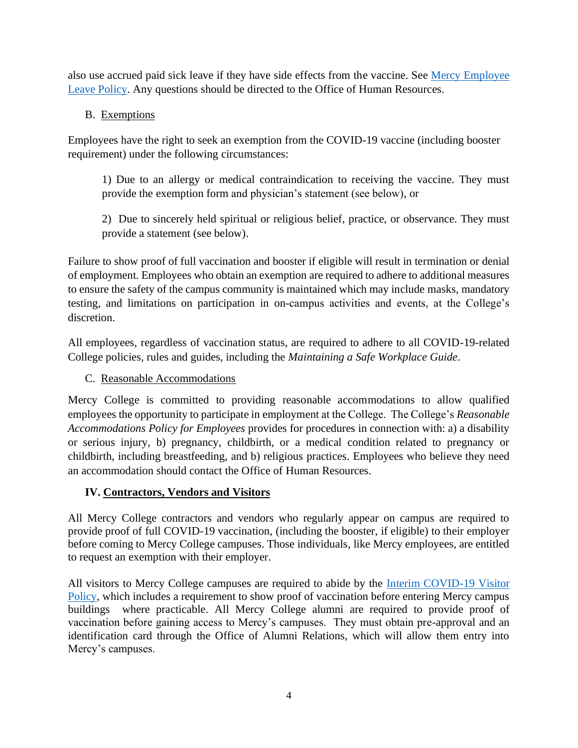also use accrued paid sick leave if they have side effects from the vaccine. See [Mercy Employee](https://www.mercy.edu/media/mercy-college-employee-leave-policy)  [Leave Policy.](https://www.mercy.edu/media/mercy-college-employee-leave-policy) Any questions should be directed to the Office of Human Resources.

# B. Exemptions

Employees have the right to seek an exemption from the COVID-19 vaccine (including booster requirement) under the following circumstances:

1) Due to an allergy or medical contraindication to receiving the vaccine. They must provide the exemption form and physician's statement (see below), or

2) Due to sincerely held spiritual or religious belief, practice, or observance. They must provide a statement (see below).

Failure to show proof of full vaccination and booster if eligible will result in termination or denial of employment. Employees who obtain an exemption are required to adhere to additional measures to ensure the safety of the campus community is maintained which may include masks, mandatory testing, and limitations on participation in on-campus activities and events, at the College's discretion.

All employees, regardless of vaccination status, are required to adhere to all COVID-19-related College policies, rules and guides, including the *Maintaining a Safe Workplace Guide*.

#### C. Reasonable Accommodations

Mercy College is committed to providing reasonable accommodations to allow qualified employees the opportunity to participate in employment at the College. The College's *Reasonable Accommodations Policy for Employees* provides for procedures in connection with: a) a disability or serious injury, b) pregnancy, childbirth, or a medical condition related to pregnancy or childbirth, including breastfeeding, and b) religious practices. Employees who believe they need an accommodation should contact the Office of Human Resources.

# **IV. Contractors, Vendors and Visitors**

All Mercy College contractors and vendors who regularly appear on campus are required to provide proof of full COVID-19 vaccination, (including the booster, if eligible) to their employer before coming to Mercy College campuses. Those individuals, like Mercy employees, are entitled to request an exemption with their employer.

All visitors to Mercy College campuses are required to abide by the [Interim COVID-19 Visitor](https://www.mercy.edu/media/interim-visitors-policy)  [Policy,](https://www.mercy.edu/media/interim-visitors-policy) which includes a requirement to show proof of vaccination before entering Mercy campus buildings where practicable. All Mercy College alumni are required to provide proof of vaccination before gaining access to Mercy's campuses. They must obtain pre-approval and an identification card through the Office of Alumni Relations, which will allow them entry into Mercy's campuses.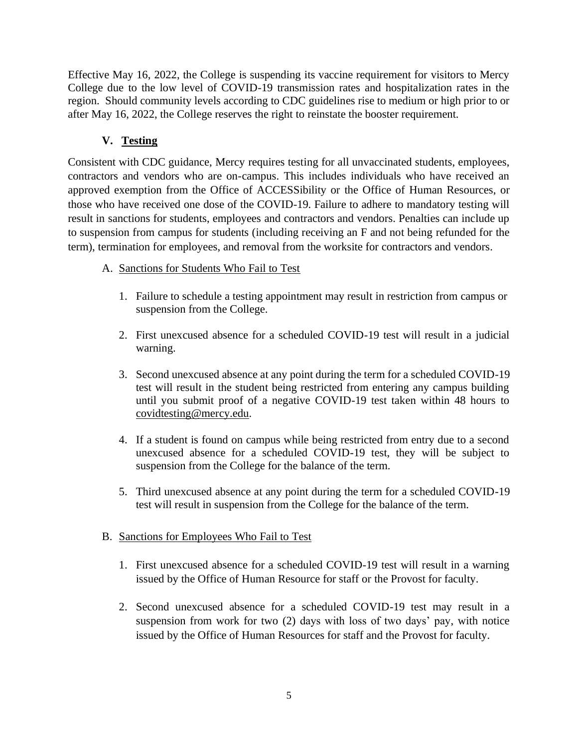Effective May 16, 2022, the College is suspending its vaccine requirement for visitors to Mercy College due to the low level of COVID-19 transmission rates and hospitalization rates in the region. Should community levels according to CDC guidelines rise to medium or high prior to or after May 16, 2022, the College reserves the right to reinstate the booster requirement.

# **V. Testing**

Consistent with CDC guidance, Mercy requires testing for all unvaccinated students, employees, contractors and vendors who are on-campus. This includes individuals who have received an approved exemption from the Office of ACCESSibility or the Office of Human Resources, or those who have received one dose of the COVID-19. Failure to adhere to mandatory testing will result in sanctions for students, employees and contractors and vendors. Penalties can include up to suspension from campus for students (including receiving an F and not being refunded for the term), termination for employees, and removal from the worksite for contractors and vendors.

- A. Sanctions for Students Who Fail to Test
	- 1. Failure to schedule a testing appointment may result in restriction from campus or suspension from the College.
	- 2. First unexcused absence for a scheduled COVID-19 test will result in a judicial warning.
	- 3. Second unexcused absence at any point during the term for a scheduled COVID-19 test will result in the student being restricted from entering any campus building until you submit proof of a negative COVID-19 test taken within 48 hours to [covidtesting@mercy.edu.](mailto:covidtesting@mercy.edu)
	- 4. If a student is found on campus while being restricted from entry due to a second unexcused absence for a scheduled COVID-19 test, they will be subject to suspension from the College for the balance of the term.
	- 5. Third unexcused absence at any point during the term for a scheduled COVID-19 test will result in suspension from the College for the balance of the term.

# B. Sanctions for Employees Who Fail to Test

- 1. First unexcused absence for a scheduled COVID-19 test will result in a warning issued by the Office of Human Resource for staff or the Provost for faculty.
- 2. Second unexcused absence for a scheduled COVID-19 test may result in a suspension from work for two (2) days with loss of two days' pay, with notice issued by the Office of Human Resources for staff and the Provost for faculty.